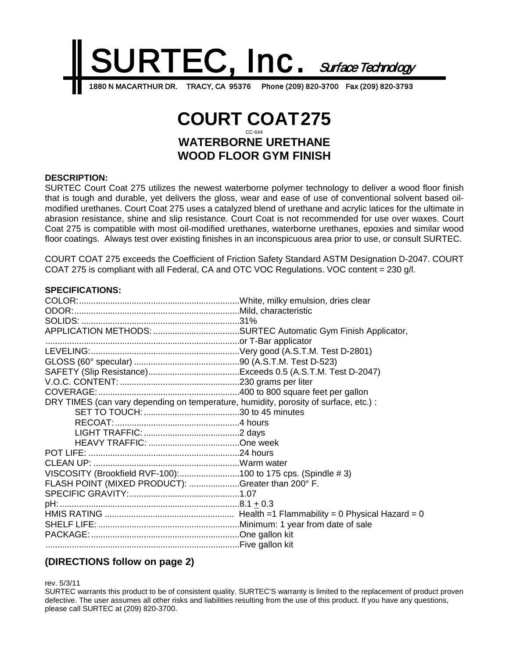

# **COURT COAT275** CC-644 **WATERBORNE URETHANE WOOD FLOOR GYM FINISH**

#### **DESCRIPTION:**

SURTEC Court Coat 275 utilizes the newest waterborne polymer technology to deliver a wood floor finish that is tough and durable, yet delivers the gloss, wear and ease of use of conventional solvent based oilmodified urethanes. Court Coat 275 uses a catalyzed blend of urethane and acrylic latices for the ultimate in abrasion resistance, shine and slip resistance. Court Coat is not recommended for use over waxes. Court Coat 275 is compatible with most oil-modified urethanes, waterborne urethanes, epoxies and similar wood floor coatings. Always test over existing finishes in an inconspicuous area prior to use, or consult SURTEC.

COURT COAT 275 exceeds the Coefficient of Friction Safety Standard ASTM Designation D-2047. COURT COAT 275 is compliant with all Federal, CA and OTC VOC Regulations. VOC content = 230 g/l.

| <b>SPECIFICATIONS:</b>                                                               |  |
|--------------------------------------------------------------------------------------|--|
|                                                                                      |  |
|                                                                                      |  |
|                                                                                      |  |
|                                                                                      |  |
|                                                                                      |  |
|                                                                                      |  |
|                                                                                      |  |
|                                                                                      |  |
|                                                                                      |  |
|                                                                                      |  |
| DRY TIMES (can vary depending on temperature, humidity, porosity of surface, etc.) : |  |
|                                                                                      |  |
|                                                                                      |  |
|                                                                                      |  |
|                                                                                      |  |
|                                                                                      |  |
|                                                                                      |  |
| VISCOSITY (Brookfield RVF-100):100 to 175 cps. (Spindle #3)                          |  |
| FLASH POINT (MIXED PRODUCT): Greater than 200° F.                                    |  |
|                                                                                      |  |
|                                                                                      |  |
|                                                                                      |  |
|                                                                                      |  |
|                                                                                      |  |
|                                                                                      |  |

## **(DIRECTIONS follow on page 2)**

rev. 5/3/11

SURTEC warrants this product to be of consistent quality. SURTEC'S warranty is limited to the replacement of product proven defective. The user assumes all other risks and liabilities resulting from the use of this product. If you have any questions, please call SURTEC at (209) 820-3700.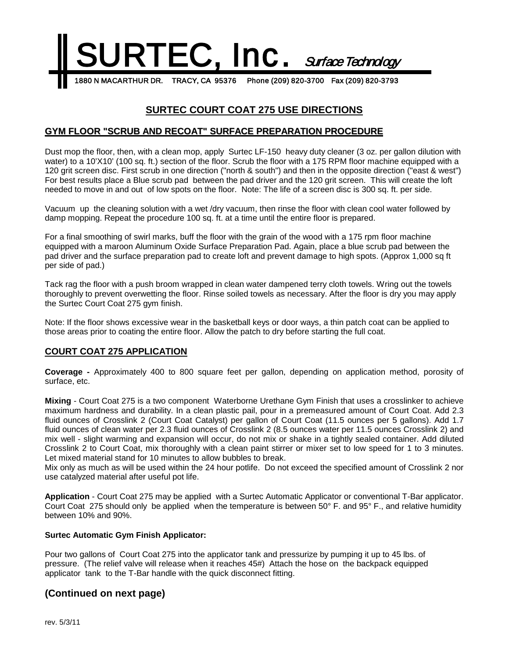

## **SURTEC COURT COAT 275 USE DIRECTIONS**

### **GYM FLOOR "SCRUB AND RECOAT" SURFACE PREPARATION PROCEDURE**

Dust mop the floor, then, with a clean mop, apply Surtec LF-150 heavy duty cleaner (3 oz. per gallon dilution with water) to a 10'X10' (100 sq. ft.) section of the floor. Scrub the floor with a 175 RPM floor machine equipped with a 120 grit screen disc. First scrub in one direction ("north & south") and then in the opposite direction ("east & west") For best results place a Blue scrub pad between the pad driver and the 120 grit screen. This will create the loft needed to move in and out of low spots on the floor. Note: The life of a screen disc is 300 sq. ft. per side.

Vacuum up the cleaning solution with a wet /dry vacuum, then rinse the floor with clean cool water followed by damp mopping. Repeat the procedure 100 sq. ft. at a time until the entire floor is prepared.

For a final smoothing of swirl marks, buff the floor with the grain of the wood with a 175 rpm floor machine equipped with a maroon Aluminum Oxide Surface Preparation Pad. Again, place a blue scrub pad between the pad driver and the surface preparation pad to create loft and prevent damage to high spots. (Approx 1,000 sq ft per side of pad.)

Tack rag the floor with a push broom wrapped in clean water dampened terry cloth towels. Wring out the towels thoroughly to prevent overwetting the floor. Rinse soiled towels as necessary. After the floor is dry you may apply the Surtec Court Coat 275 gym finish.

Note: If the floor shows excessive wear in the basketball keys or door ways, a thin patch coat can be applied to those areas prior to coating the entire floor. Allow the patch to dry before starting the full coat.

### **COURT COAT 275 APPLICATION**

**Coverage -** Approximately 400 to 800 square feet per gallon, depending on application method, porosity of surface, etc.

**Mixing** - Court Coat 275 is a two component Waterborne Urethane Gym Finish that uses a crosslinker to achieve maximum hardness and durability. In a clean plastic pail, pour in a premeasured amount of Court Coat. Add 2.3 fluid ounces of Crosslink 2 (Court Coat Catalyst) per gallon of Court Coat (11.5 ounces per 5 gallons). Add 1.7 fluid ounces of clean water per 2.3 fluid ounces of Crosslink 2 (8.5 ounces water per 11.5 ounces Crosslink 2) and mix well - slight warming and expansion will occur, do not mix or shake in a tightly sealed container. Add diluted Crosslink 2 to Court Coat, mix thoroughly with a clean paint stirrer or mixer set to low speed for 1 to 3 minutes. Let mixed material stand for 10 minutes to allow bubbles to break.

Mix only as much as will be used within the 24 hour potlife. Do not exceed the specified amount of Crosslink 2 nor use catalyzed material after useful pot life.

**Application** - Court Coat 275 may be applied with a Surtec Automatic Applicator or conventional T-Bar applicator. Court Coat 275 should only be applied when the temperature is between 50° F. and 95° F., and relative humidity between 10% and 90%.

#### **Surtec Automatic Gym Finish Applicator:**

Pour two gallons of Court Coat 275 into the applicator tank and pressurize by pumping it up to 45 lbs. of pressure. (The relief valve will release when it reaches 45#) Attach the hose on the backpack equipped applicator tank to the T-Bar handle with the quick disconnect fitting.

## **(Continued on next page)**